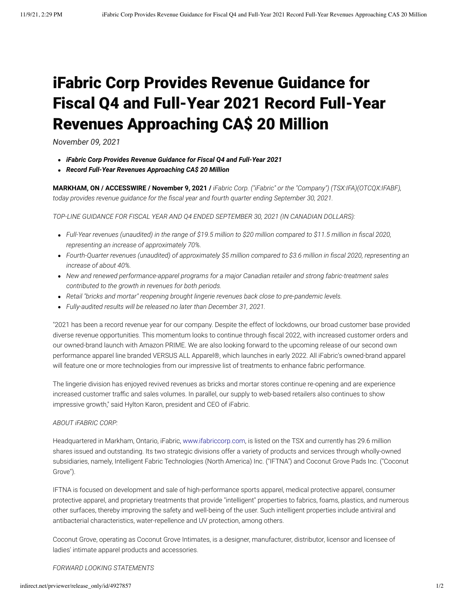## iFabric Corp Provides Revenue Guidance for Fiscal Q4 and Full-Year 2021 Record Full-Year Revenues Approaching CA\$ 20 Million

*November 09, 2021*

- *iFabric Corp Provides Revenue Guidance for Fiscal Q4 and Full-Year 2021*
- *Record Full-Year Revenues Approaching CA\$ 20 Million*

**MARKHAM, ON / ACCESSWIRE / November 9, 2021 /** *iFabric Corp. ("iFabric" or the "Company") (TSX:IFA)(OTCQX:IFABF), today provides revenue guidance for the fiscal year and fourth quarter ending September 30, 2021.*

*TOP-LINE GUIDANCE FOR FISCAL YEAR AND Q4 ENDED SEPTEMBER 30, 2021 (IN CANADIAN DOLLARS):*

- *Full-Year revenues (unaudited) in the range of \$19.5 million to \$20 million compared to \$11.5 million in fiscal 2020, representing an increase of approximately 70%.*
- *Fourth-Quarter revenues (unaudited) of approximately \$5 million compared to \$3.6 million in fiscal 2020, representing an increase of about 40%.*
- *New and renewed performance-apparel programs for a major Canadian retailer and strong fabric-treatment sales contributed to the growth in revenues for both periods.*
- *Retail "bricks and mortar" reopening brought lingerie revenues back close to pre-pandemic levels.*
- *Fully-audited results will be released no later than December 31, 2021.*

"2021 has been a record revenue year for our company. Despite the effect of lockdowns, our broad customer base provided diverse revenue opportunities. This momentum looks to continue through fiscal 2022, with increased customer orders and our owned-brand launch with Amazon PRIME. We are also looking forward to the upcoming release of our second own performance apparel line branded VERSUS ALL Apparel®, which launches in early 2022. All iFabric's owned-brand apparel will feature one or more technologies from our impressive list of treatments to enhance fabric performance.

The lingerie division has enjoyed revived revenues as bricks and mortar stores continue re-opening and are experience increased customer traffic and sales volumes. In parallel, our supply to web-based retailers also continues to show impressive growth," said Hylton Karon, president and CEO of iFabric.

## *ABOUT iFABRIC CORP:*

Headquartered in Markham, Ontario, iFabric, [www.ifabriccorp.com,](https://pr.report/lRIB7ux5) is listed on the TSX and currently has 29.6 million shares issued and outstanding. Its two strategic divisions offer a variety of products and services through wholly-owned subsidiaries, namely, Intelligent Fabric Technologies (North America) Inc. ("IFTNA") and Coconut Grove Pads Inc. ("Coconut Grove").

IFTNA is focused on development and sale of high-performance sports apparel, medical protective apparel, consumer protective apparel, and proprietary treatments that provide "intelligent" properties to fabrics, foams, plastics, and numerous other surfaces, thereby improving the safety and well-being of the user. Such intelligent properties include antiviral and antibacterial characteristics, water-repellence and UV protection, among others.

Coconut Grove, operating as Coconut Grove Intimates, is a designer, manufacturer, distributor, licensor and licensee of ladies' intimate apparel products and accessories.

*FORWARD LOOKING STATEMENTS*